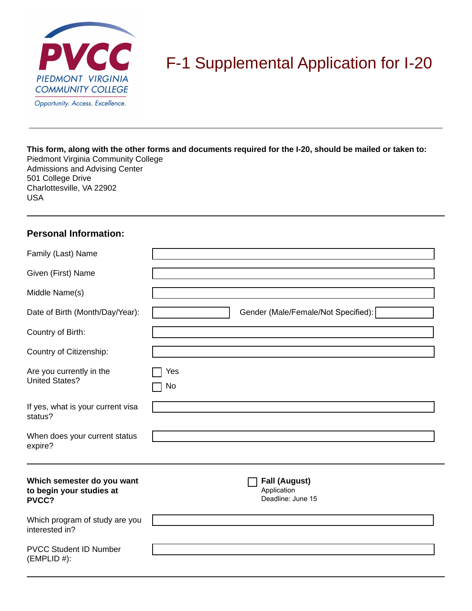

# F-1 Supplemental Application for I-20

# **This form, along with the other forms and documents required for the I-20, should be mailed or taken to:**

Piedmont Virginia Community College Admissions and Advising Center 501 College Drive Charlottesville, VA 22902 USA

#### **Personal Information:**

| Family (Last) Name                                              |                                                          |
|-----------------------------------------------------------------|----------------------------------------------------------|
| Given (First) Name                                              |                                                          |
| Middle Name(s)                                                  |                                                          |
| Date of Birth (Month/Day/Year):                                 | Gender (Male/Female/Not Specified):                      |
| Country of Birth:                                               |                                                          |
| Country of Citizenship:                                         |                                                          |
| Are you currently in the<br><b>United States?</b>               | Yes<br>No                                                |
| If yes, what is your current visa<br>status?                    |                                                          |
| When does your current status<br>expire?                        |                                                          |
| Which semester do you want<br>to begin your studies at<br>PVCC? | <b>Fall (August)</b><br>Application<br>Deadline: June 15 |
| Which program of study are you<br>interested in?                |                                                          |
| <b>PVCC Student ID Number</b><br>$(EMPLID \#):$                 |                                                          |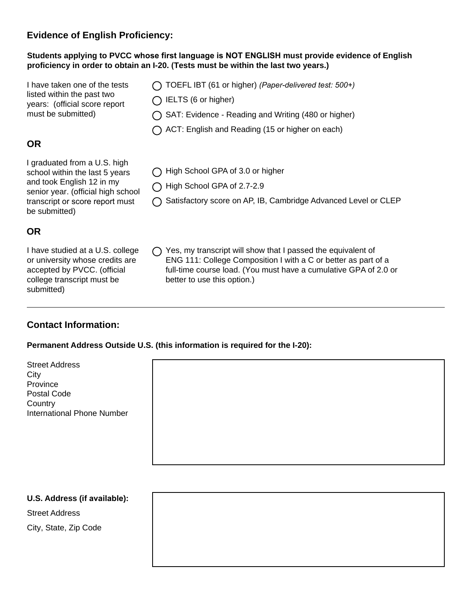## **Evidence of English Proficiency:**

#### **Students applying to PVCC whose first language is NOT ENGLISH must provide evidence of English proficiency in order to obtain an I-20. (Tests must be within the last two years.)**

I have taken one of the tests listed within the past two years: (official score report must be submitted)

# **OR**

I graduated from a U.S. high school within the last 5 years and took English 12 in my senior year. (official high school transcript or score report must be submitted)

## **OR**

I have studied at a U.S. college or university whose credits are accepted by PVCC. (official college transcript must be submitted)

- TOEFL IBT (61 or higher) *(Paper-delivered test: 500+)*
- $\bigcap$  IELTS (6 or higher)
- SAT: Evidence Reading and Writing (480 or higher)
- $\bigcap$  ACT: English and Reading (15 or higher on each)
- ◯ High School GPA of 3.0 or higher
- High School GPA of 2.7-2.9
- ◯ Satisfactory score on AP, IB, Cambridge Advanced Level or CLEP
- $\bigcap$  Yes, my transcript will show that I passed the equivalent of ENG 111: College Composition I with a C or better as part of a full-time course load. (You must have a cumulative GPA of 2.0 or better to use this option.)

#### **Contact Information:**

#### **Permanent Address Outside U.S. (this information is required for the I-20):**

Street Address **City** Province Postal Code **Country** International Phone Number



# **U.S. Address (if available):** Street Address City, State, Zip Code